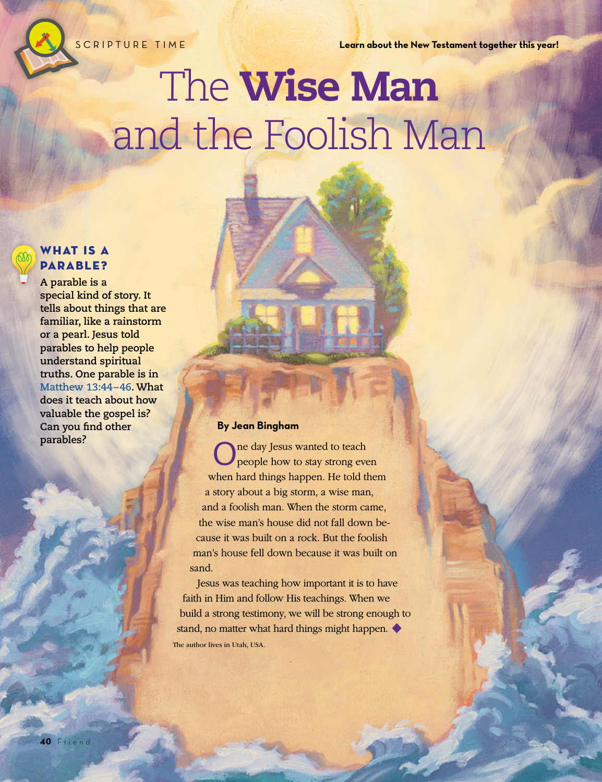SCRIPTURE TIME **Learn about the New Testament together this year!**

# The Wise Man and the Foolish Man

## WHAT IS A PARABLE?

**A parable is a special kind of story. It tells about things that are familiar, like a rainstorm or a pearl. Jesus told parables to help people understand spiritual truths. One parable is in [Matthew 13:44–46.](https://www.lds.org/scriptures/nt/matt/13.44-46?lang=eng#43) What does it teach about how valuable the gospel is? Can you find other parables?**

#### **By Jean Bingham**

One day Jesus wanted to teach people how to stay strong even when hard things happen. He told them a story about a big storm, a wise man, and a foolish man. When the storm came, the wise man's house did not fall down because it was built on a rock. But the foolish man's house fell down because it was built on sand.

Jesus was teaching how important it is to have faith in Him and follow His teachings. When we build a strong testimony, we will be strong enough to stand, no matter what hard things might happen. ♦ The author lives in Utah, USA.